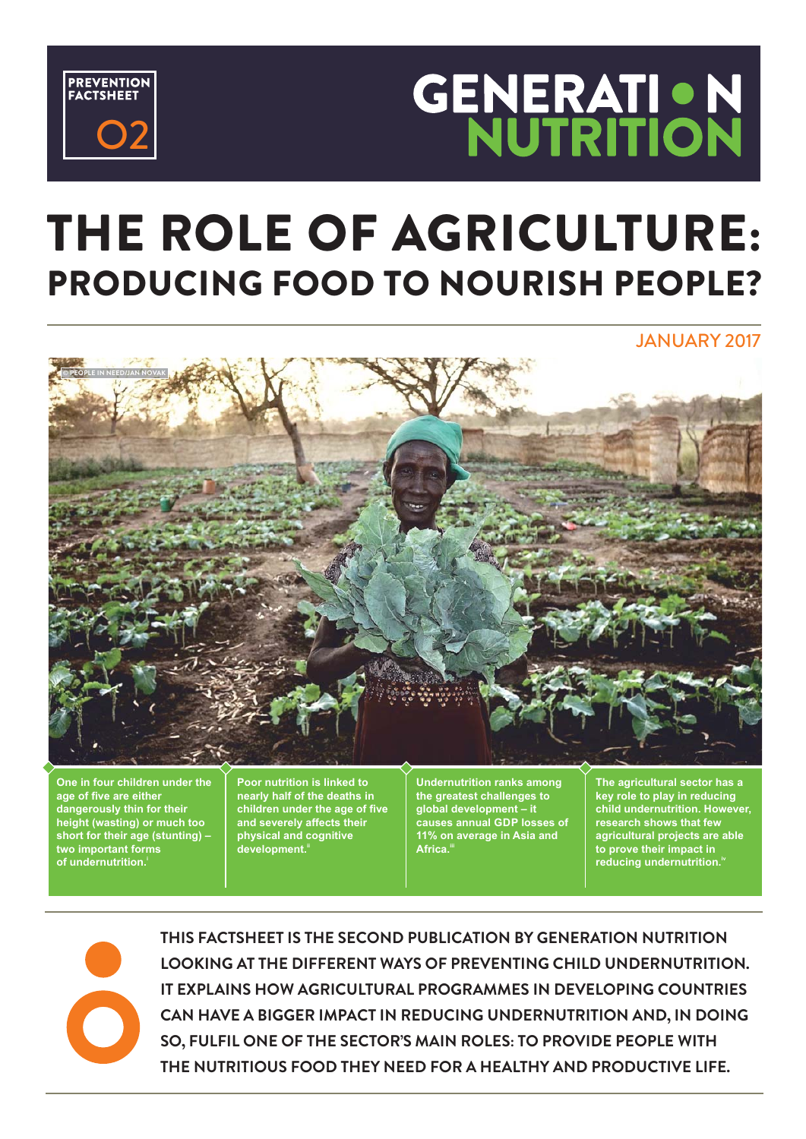

# **GENERATION<br>NUTRITION**

## THE ROLE OF AGRICULTURE: PRODUCING FOOD TO NOURISH PEOPLE?

JANUARY 2017



**One in four children under the age of five are either dangerously thin for their height (wasting) or much too short for their age (stunting) – two important forms of undernutrition.i**

**Poor nutrition is linked to nearly half of the deaths in children under the age of five and severely affects their physical and cognitive development.ii**

**Undernutrition ranks among the greatest challenges to global development – it causes annual GDP losses of 11% on average in Asia and Africa.iii**

**The agricultural sector has a key role to play in reducing child undernutrition. However, research shows that few agricultural projects are able to prove their impact in reducing undernutrition.**<sup>1</sup>



**THIS FACTSHEET IS THE SECOND BY GENERATION NUTRITION PUBLICATION LOOKING AT THE DIFFERENT WAYS OF PREVENTING CHILD UNDERNUTRITION. IT EXPLAINS HOW AGRICULTURAL PROGRAMMES IN DEVELOPING COUNTRIES CAN HAVE A BIGGER IMPACT IN REDUCING UNDERNUTRITION AND, IN DOING SO, FULFIL ONE OF THE SECTOR-S MAIN ROLES: TO PROVIDE PEOPLE WITH THE NUTRITIOUS FOOD THEY NEED FOR A HEALTHY AND PRODUCTIVE LIFE.**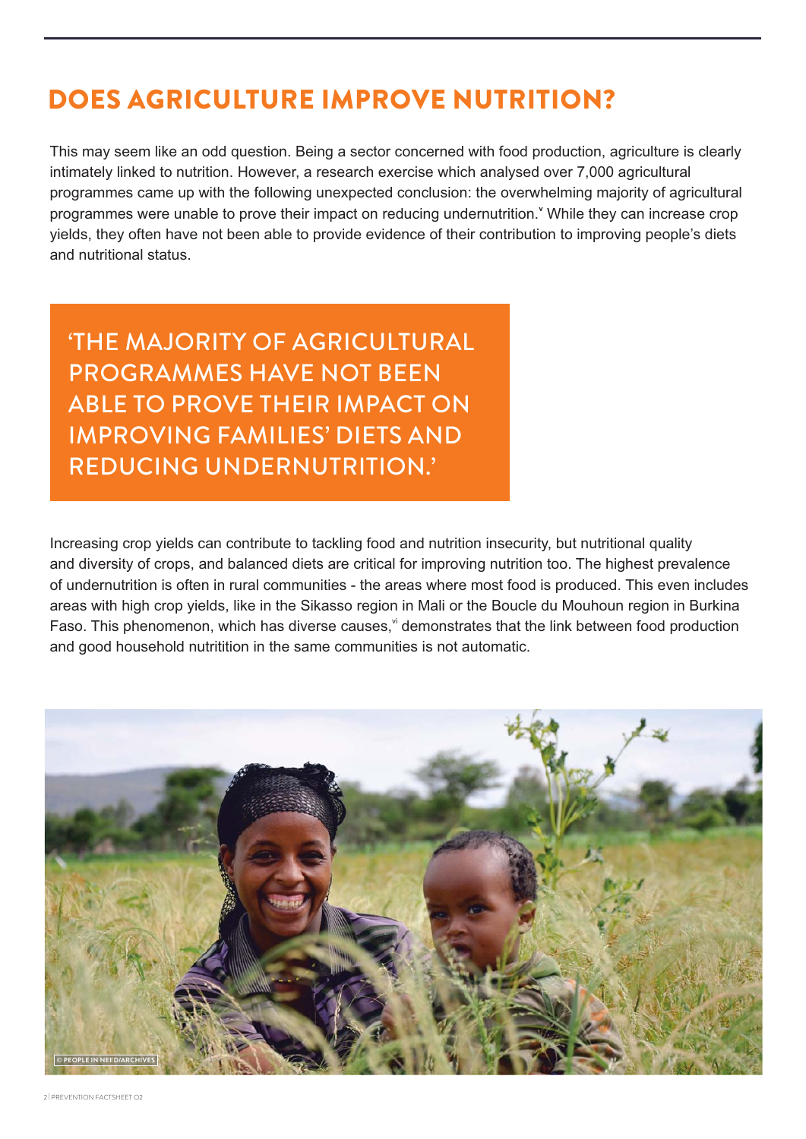### DOES AGRICULTURE IMPROVE NUTRITION?

This may seem like an odd question. Being a sector concerned with food production, agriculture is clearly intimately linked to nutrition. However, a research exercise which analysed over 7,000 agricultural programmes came up with the following unexpected conclusion: the overwhelming majority of agricultural programmes were unable to prove their impact on reducing undernutrition.<sup>Y</sup> While they can increase crop yields, they often have not been able to provide evidence of their contribution to improving people's diets and nutritional status.

**THE MAJORITY OF AGRICULTURAL** PROGRAMMES HAVE NOT BEEN ABLE TO PROVE THEIR IMPACT ON **IMPROVING FAMILIES' DIETS AND** REDUCING UNDERNUTRITION.

Increasing crop yields can contribute to tackling food and nutrition insecurity, but nutritional quality and diversity of crops, and balanced diets are critical for improving nutrition too. The highest prevalence of undernutrition is often in rural communities - the areas where most food is produced. This even includes areas with high crop yields, like in the Sikasso region in Mali or the Boucle du Mouhoun region in Burkina Faso. This phenomenon, which has diverse causes, demonstrates that the link between food production and good household nutritition in the same communities is not automatic.

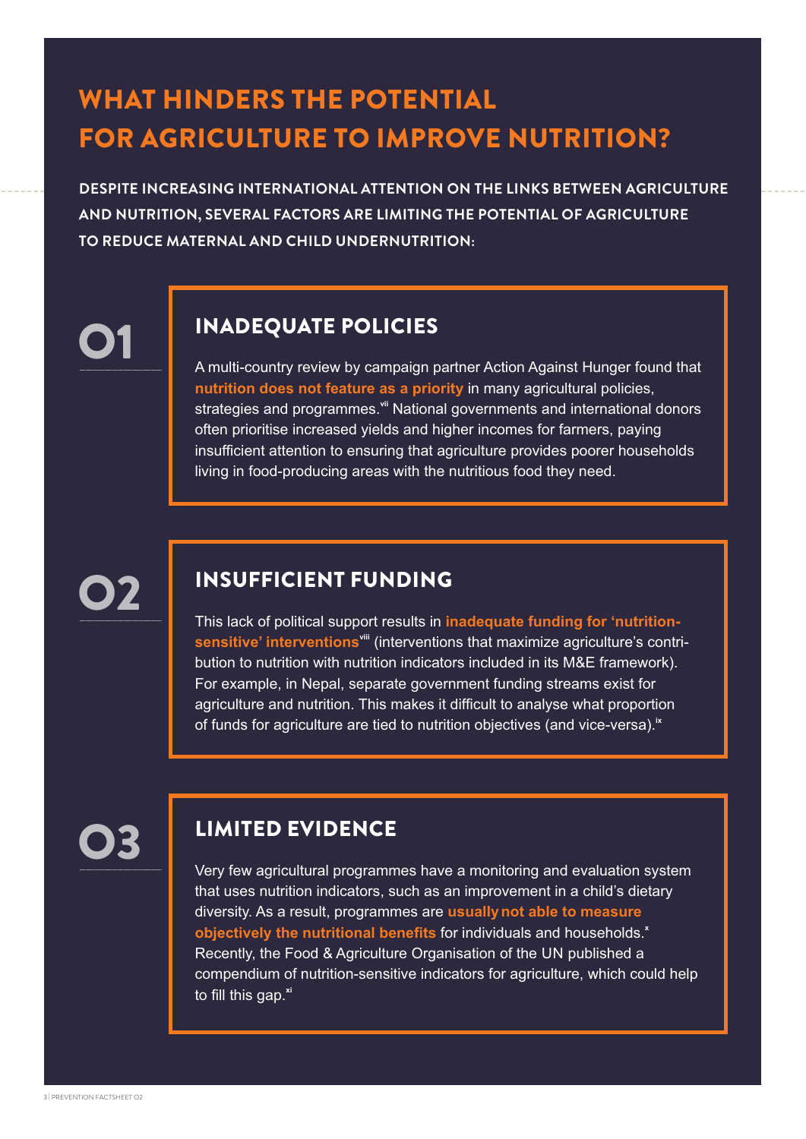## WHAT HINDERS THE POTENTIAL FOR AGRICULTURE TO IMPROVE NUTRITION?

**DESPITE INCREASING INTERNATIONAL ATTENTION ON THE LINKS BETWEEN AGRICULTURE AND NUTRITION, SEVERAL FACTORS ARE LIMITING THE POTENTIAL OF AGRICULTURE TO REDUCE MATERNAL AND CHILD UNDERNUTRITION:**

# O1

#### INADEQUATE POLICIES

A multi-country review by campaign partner Action Against Hunger found that **nutrition does not feature as a priority** in many agricultural policies, strategies and programmes.<sup>vii</sup> National governments and international donors often prioritise increased yields and higher incomes for farmers, paying insufficient attention to ensuring that agriculture provides poorer households living in food-producing areas with the nutritious food they need.

# O2

#### INSUFFICIENT FUNDING

This lack of political support results in **inadequate funding for 'nutritionsensitive' interventionsviii** (interventions that maximize agriculture's contribution to nutrition with nutrition indicators included in its M&E framework). For example, in Nepal, separate government funding streams exist for agriculture and nutrition. This makes it difficult to analyse what proportion of funds for agriculture are tied to nutrition objectives (and vice-versa).**ix**



#### LIMITED EVIDENCE

Very few agricultural programmes have a monitoring and evaluation system that uses nutrition indicators, such as an improvement in a child's dietary diversity. As a result, programmes are **usuallynot able to measure objectively the nutritional benefits** for individuals and households.**<sup>x</sup>** Recently, the Food & Agriculture Organisation of the UN published a compendium of nutrition-sensitive indicators for agriculture, which could help to fill this gap.**xi**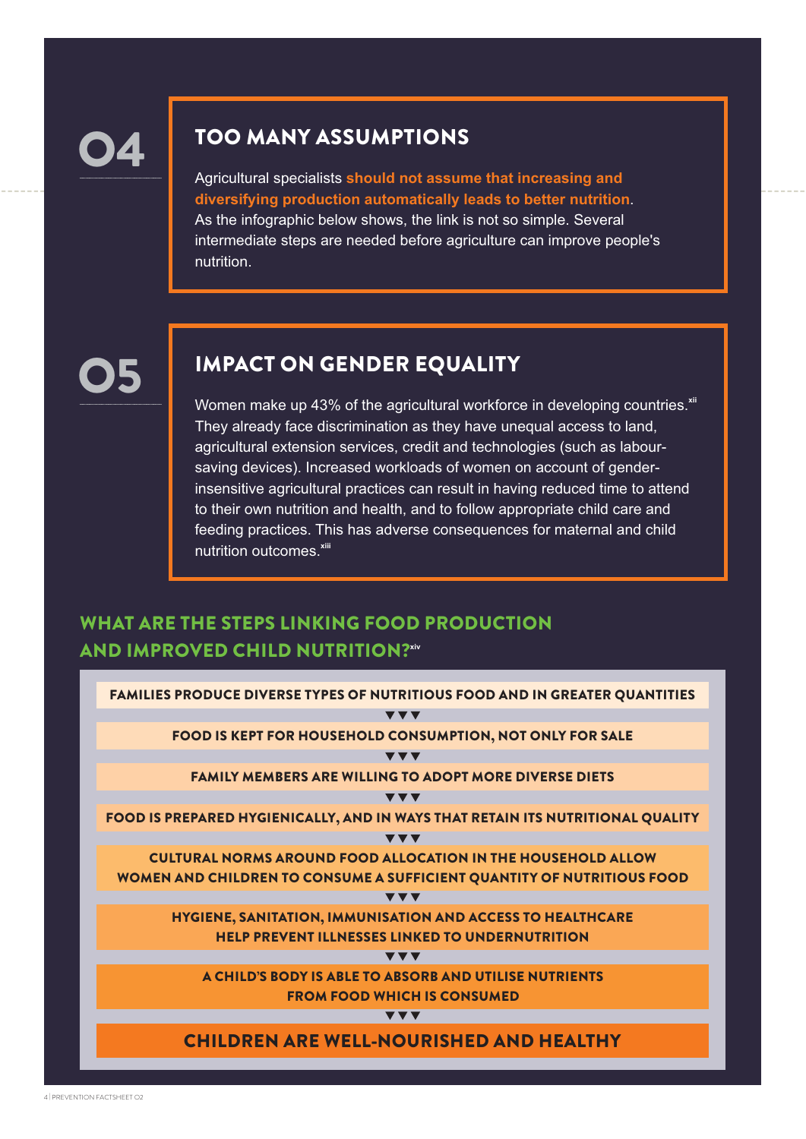O4

#### TOO MANY ASSUMPTIONS

Agricultural specialists **should not assume that increasing and diversifying production automatically leads to better nutrition**. As the infographic below shows, the link is not so simple. Several intermediate steps are needed before agriculture can improve people's nutrition.

# O5

#### IMPACT ON GENDER EQUALITY

Women make up 43% of the agricultural workforce in developing countries.<sup>xii</sup> They already face discrimination as they have unequal access to land, agricultural extension services, credit and technologies (such as laboursaving devices). Increased workloads of women on account of genderinsensitive agricultural practices can result in having reduced time to attend to their own nutrition and health, and to follow appropriate child care and feeding practices. This has adverse consequences for maternal and child nutrition outcomes.**xiii**

#### WHAT ARE THE STEPS LINKING FOOD PRODUCTION **AND IMPROVED CHILD NUTRITION?xiv**

| <b>FAMILIES PRODUCE DIVERSE TYPES OF NUTRITIOUS FOOD AND IN GREATER QUANTITIES</b> |  |
|------------------------------------------------------------------------------------|--|
| $\blacktriangledown$ $\blacktriangledown$                                          |  |
| <b>FOOD IS KEPT FOR HOUSEHOLD CONSUMPTION, NOT ONLY FOR SALE</b>                   |  |
| ▼▼▼                                                                                |  |
| <b>FAMILY MEMBERS ARE WILLING TO ADOPT MORE DIVERSE DIETS</b>                      |  |
| $\blacktriangledown$ $\blacktriangledown$                                          |  |
| FOOD IS PREPARED HYGIENICALLY, AND IN WAYS THAT RETAIN ITS NUTRITIONAL QUALITY     |  |
| $\overline{\mathbf{v}}$ $\overline{\mathbf{v}}$                                    |  |
| <b>CULTURAL NORMS AROUND FOOD ALLOCATION IN THE HOUSEHOLD ALLOW</b>                |  |
| WOMEN AND CHILDREN TO CONSUME A SUFFICIENT QUANTITY OF NUTRITIOUS FOOD             |  |
| <b>VVV</b>                                                                         |  |
| HYGIENE, SANITATION, IMMUNISATION AND ACCESS TO HEALTHCARE                         |  |
| <b>HELP PREVENT ILLNESSES LINKED TO UNDERNUTRITION</b>                             |  |
| $\blacktriangledown$ $\blacktriangledown$                                          |  |
| A CHILD'S BODY IS ABLE TO ABSORB AND UTILISE NUTRIENTS                             |  |
| <b>FROM FOOD WHICH IS CONSUMED</b>                                                 |  |
| ▼▼▼                                                                                |  |
| <b>CHILDREN ARE WELL-NOURISHED AND HEALTHY</b>                                     |  |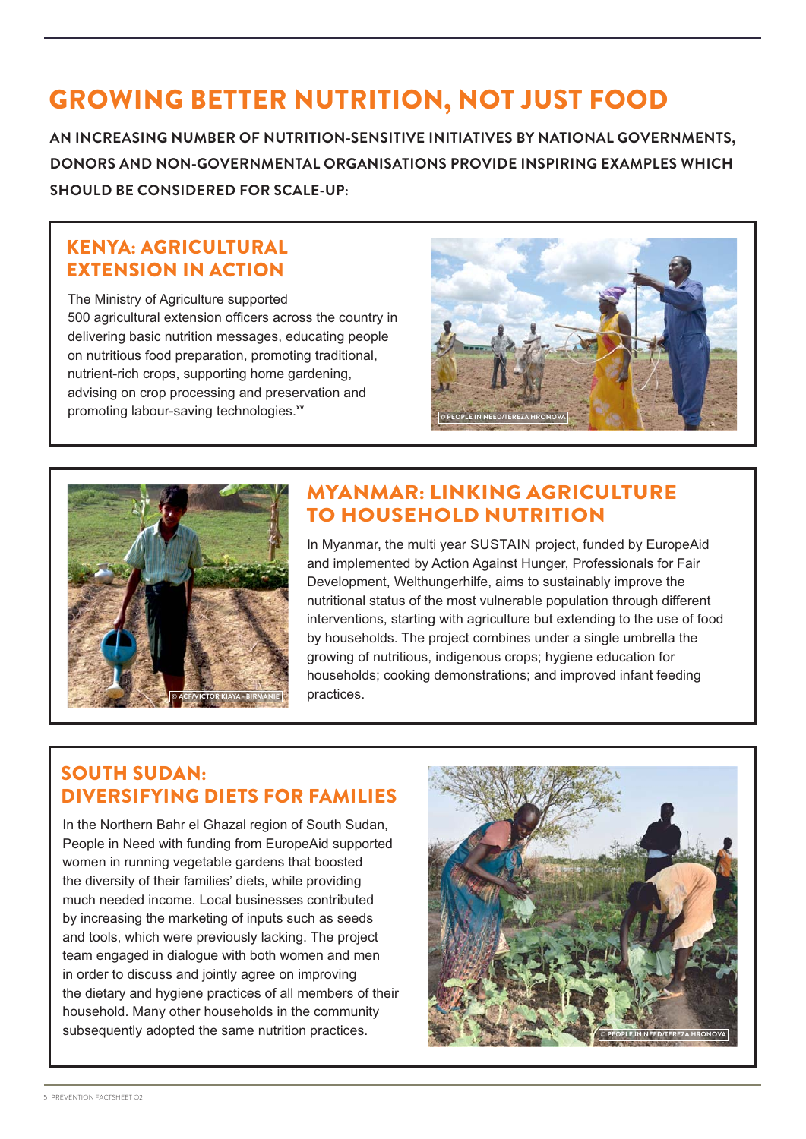## GROWING BETTER NUTRITION, NOT JUST FOOD

**AN INCREASING NUMBER OF NUTRITION-SENSITIVE INITIATIVES BY NATIONAL GOVERNMENTS, DONORS AND NON-GOVERNMENTAL ORGANISATIONS PROVIDE INSPIRING EXAMPLES WHICH SHOULD BE CONSIDERED FOR SCALE-UP:** 

#### KENYA: AGRICULTURAL EXTENSION IN ACTION

The Ministry of Agriculture supported 500 agricultural extension officers across the country in delivering basic nutrition messages, educating people on nutritious food preparation, promoting traditional, nutrient-rich crops, supporting home gardening, advising on crop processing and preservation and promoting labour-saving technologies.<sup>xv</sup>





#### MYANMAR: LINKING AGRICULTURE TO HOUSEHOLD NUTRITION

In Myanmar, the multi year SUSTAIN project, funded by EuropeAid and implemented by Action Against Hunger, Professionals for Fair Development, Welthungerhilfe, aims to sustainably improve the nutritional status of the most vulnerable population through different interventions, starting with agriculture but extending to the use of food by households. The project combines under a single umbrella the growing of nutritious, indigenous crops; hygiene education for households; cooking demonstrations; and improved infant feeding practices.

#### SOUTH SUDAN: DIVERSIFYING DIETS FOR FAMILIES

In the Northern Bahr el Ghazal region of South Sudan, People in Need with funding from EuropeAid supported women in running vegetable gardens that boosted the diversity of their families' diets, while providing much needed income. Local businesses contributed by increasing the marketing of inputs such as seeds and tools, which were previously lacking. The project team engaged in dialogue with both women and men in order to discuss and jointly agree on improving the dietary and hygiene practices of all members of their household. Many other households in the community subsequently adopted the same nutrition practices.